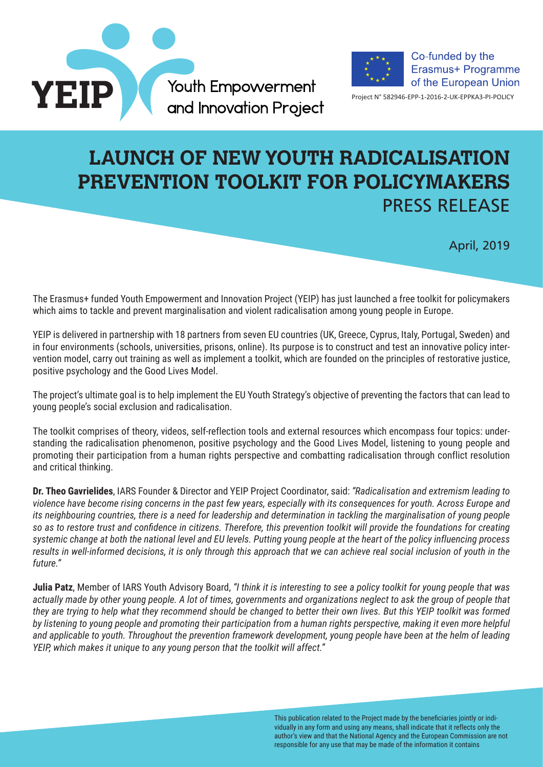



Project N° 582946-EPP-1-2016-2-UK-EPPKA3-PI-POLICY

## **LAUNCH OF NEW YOUTH RADICALISATION PREVENTION TOOLKIT FOR POLICYMAKERS** PRESS RELEASE

April, 2019

The Erasmus+ funded Youth Empowerment and Innovation Project (YEIP) has just launched a free toolkit for policymakers which aims to tackle and prevent marginalisation and violent radicalisation among young people in Europe.

YEIP is delivered in partnership with 18 partners from seven EU countries (UK, Greece, Cyprus, Italy, Portugal, Sweden) and in four environments (schools, universities, prisons, online). Its purpose is to construct and test an innovative policy intervention model, carry out training as well as implement a toolkit, which are founded on the principles of restorative justice, positive psychology and the Good Lives Model.

The project's ultimate goal is to help implement the EU Youth Strategy's objective of preventing the factors that can lead to young people's social exclusion and radicalisation.

The toolkit comprises of theory, videos, self-reflection tools and external resources which encompass four topics: understanding the radicalisation phenomenon, positive psychology and the Good Lives Model, listening to young people and promoting their participation from a human rights perspective and combatting radicalisation through conflict resolution and critical thinking.

**Dr. Theo Gavrielides**, IARS Founder & Director and YEIP Project Coordinator, said: *"Radicalisation and extremism leading to violence have become rising concerns in the past few years, especially with its consequences for youth. Across Europe and its neighbouring countries, there is a need for leadership and determination in tackling the marginalisation of young people so as to restore trust and confidence in citizens. Therefore, this prevention toolkit will provide the foundations for creating systemic change at both the national level and EU levels. Putting young people at the heart of the policy influencing process results in well-informed decisions, it is only through this approach that we can achieve real social inclusion of youth in the future."*

**Julia Patz**, Member of IARS Youth Advisory Board, *"I think it is interesting to see a policy toolkit for young people that was actually made by other young people. A lot of times, governments and organizations neglect to ask the group of people that they are trying to help what they recommend should be changed to better their own lives. But this YEIP toolkit was formed by listening to young people and promoting their participation from a human rights perspective, making it even more helpful and applicable to youth. Throughout the prevention framework development, young people have been at the helm of leading YEIP, which makes it unique to any young person that the toolkit will affect."*

> This publication related to the Project made by the beneficiaries jointly or individually in any form and using any means, shall indicate that it reflects only the author's view and that the National Agency and the European Commission are not responsible for any use that may be made of the information it contains